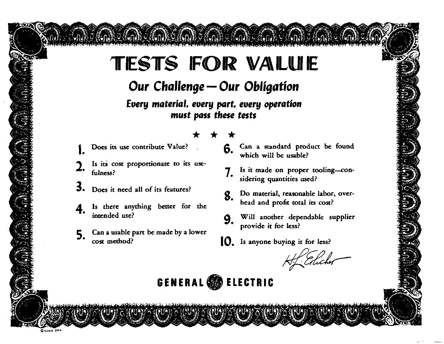# **TESTS FOR VALUE**

### Our Challenge - Our Obligation

Every material, every part, every operation must pass these tests

- Does its use contribute Value?
- Is its cost proportionate to its usefulness?
- 3. Does it need all of its features?
- Is there anything better for the intended use?
- 5. Can a usable part be made by a lower cost method?

### 6.

- Can a standard product be found which will be usable?
- Is it made on proper tooling-con-7. sidering quantities used?
- Do material, reasonable labor, over-8. head and profit total its cost?
- Will another dependable supplier 9. provide it for less?
- **IQ**. Is anyone buying it for less?

H Elicher

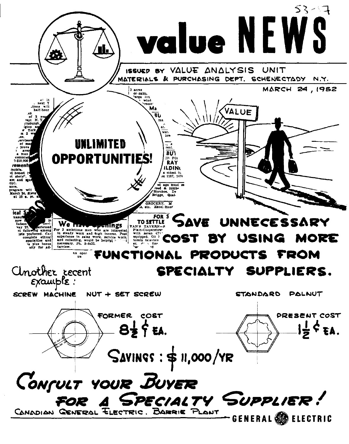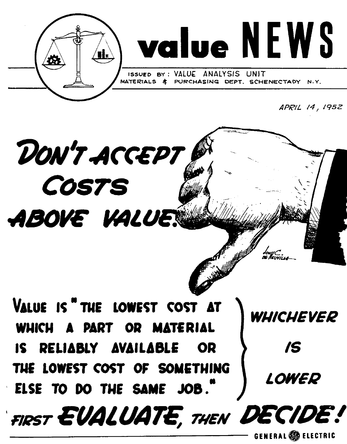



**ISSUED BY** : **VALUE ANALYSIS** UNIT CHASING DEPT. SCHENECTAOY N.Y.

**APHL 14, 1952** 

# DON'T ACCEPT **COSTS** ABOVE VALUE.

VALUE IS <sup>"</sup> THE LOWEST COST AT WHICHEVER **IS RELIABLY AVAILABLE OR SECTABLY AND AVAILABLE OR SECTABLY** THE LOWEST COST OF SOMETHING **ELSE TO 00 THE SAME 308.** 

LOWER

FIRST EVALUATE, THEN DECIDE!

**~ENERAL@ ELECTRIC**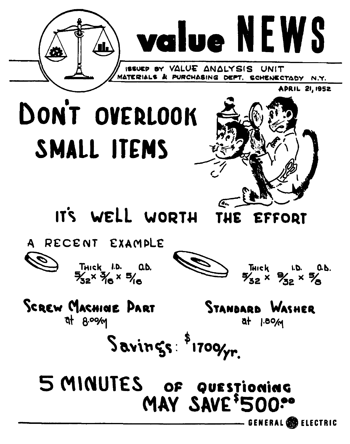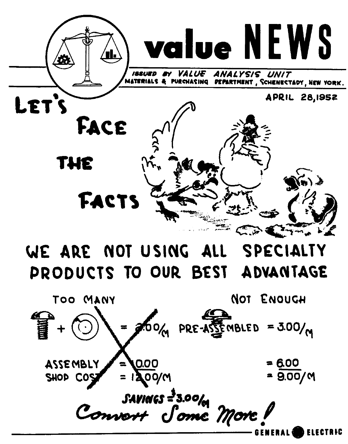

### WE ARE NOT USING ALL **SPECIALTY** PRODUCTS TO OUR BEST ADVANTAGE

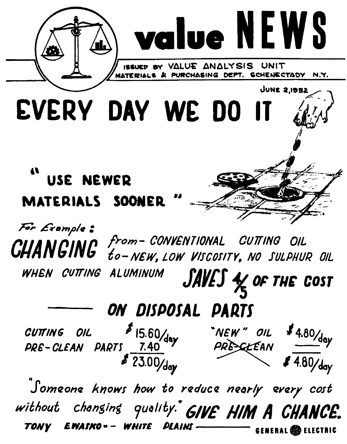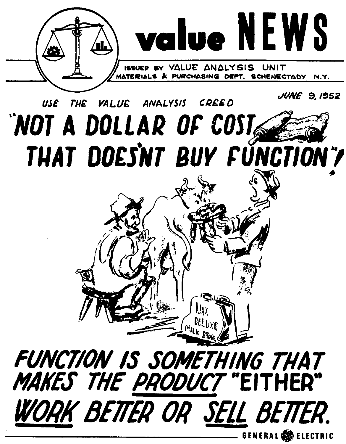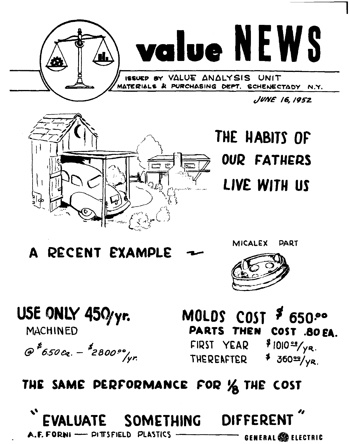



THE HABITS OF **OUR FATHERS** LIVE WITH US

A RECENT EXAMPLE



USE ONLY 450/yr.

**MACHINED** 

 $\int e^{t}$ 6.50 cq.  $t^{2}$ 2800  $\frac{1}{r}$ 

MOLDS COST  $$650$ . **PARTS THEN** COST .80 EA.

FIRST YEAR **THEREAFTER** 

 $$1010°/ya.$  $\frac{1}{2}$  36022/yR.

## THE SAME PERFORMANCE FOR 1/2 THE COST

**DIFFERENT SOMETHING EVALUATE** A.F. FORNI - PITTSFIELD PLASTICS **GENERAL & ELECTRIC**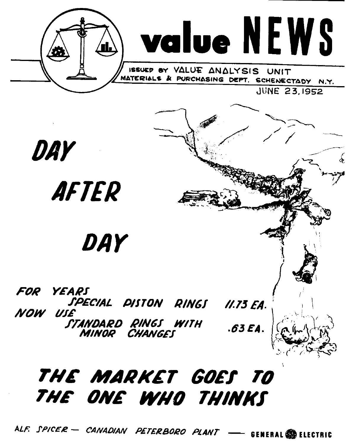

# THE ONE WHO THINKS

ALF. SPICER - CANADIAN PETERBORO PLANT **GENERAL SO ELECTRIC**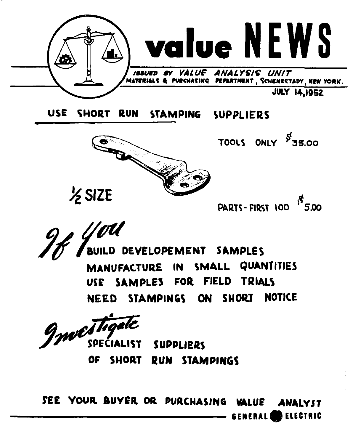

**USE SHORT RUN STAMPING SUPPLIERS** 



 $\frac{1}{2}$  SIZE

PARTS-FIRST 100 5.00

TOOLS ONLY 55.00

9#YM **BUILD DEVELOPEMENT SAMPLES** 

**MANUFACTURE IN SMALL QUANTITlE3 USE SAMPLES FOR FIELD TRIALS NEED STAMPINGS ON SHORT NOTICE** 

Investigate SPECIALIST

**SUPPLIERS OF SHORT RUN STAMPINGS** 

**\$EE YOUR BUYER OR PURCHASlljG WLUE AWILYST GENERAL() ELECTRIC**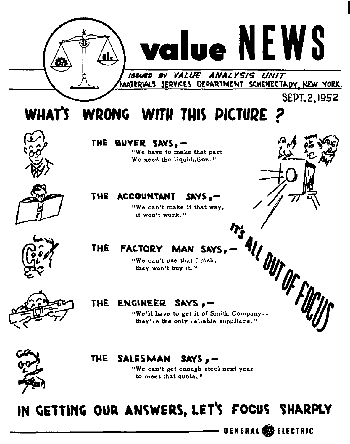

### THE SALESMAN SAYS.-

"We can't get enough steel next year to meet that quota. "

# IN GETTING OUR ANSWERS, LET'S FOCUS SHARPLY

**GENERAL <b>B** ELECTRIC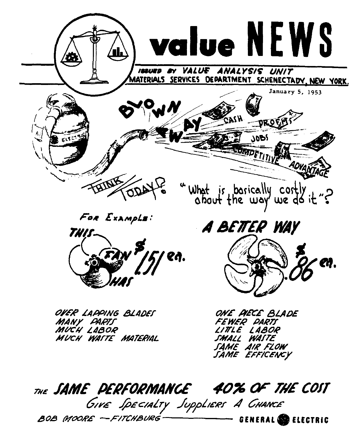

THE SAME PERFORMANCE 40% OF THE COST GIVE SPECIALTY SuppLIERS A CHANCE BOB MOORE - FITCHBURG **GENERAL CO ELECTRIC**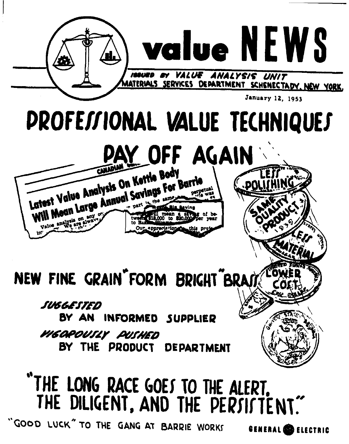

GOOD LUCK" TO THE GANG AT BARRIE WORKS

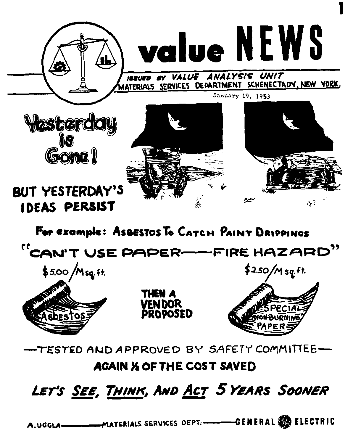



**I** 

ANALYSIS UNIT VAILE ATERIALS SERVICES DEPARTMENT SCHENECTADY, NEW YORK. January 19, 1953



# **BUT YESTERDAY'S IDEAS PERSIST**

For example: AsBESTOS To CATCH PAINT DRIPPINGS

"CAN'T USE PAPER-FIRE HAZARD"







**TESTED AND APPROVED BY SAFETY COMMITTEE**-

### **AGAIN** *X* **OF THE COST SAVED**

## LET'S SEE, THINK, AND ACT 5 YEARS SOONER

MATERIALS SERVICES DEPT. ------GENERAL SO ELECTRIC A.UGGLA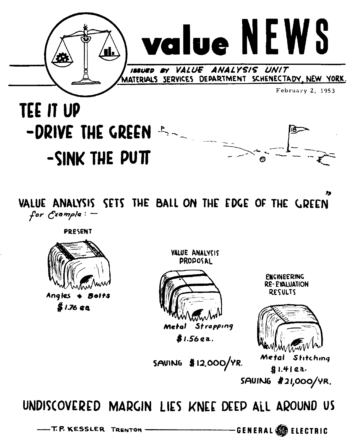

# **TEE IT UP** -DRIVE THE GREEN A -SINK THE PUTT



VALUE ANALYSIS SETS THE BALL ON THE EDGE OF THE GREEN for  $C$ xample:  $-$ 

**PRESENT** 



VALUE ANALYCIS **PROPOSAL** 



**ENGINEERING RE-EVALUATION RESULTS** 



SAVING \$12,000/YR.

Metal Stitching  $$1.41$ a. SAUING #21,000/YR.

UNDISCOVERED MARGIN LIES KNEE DEEP ALL AROUND US

-T.P. KESSLER TRENTON

-GENERAL SA ELECTRIC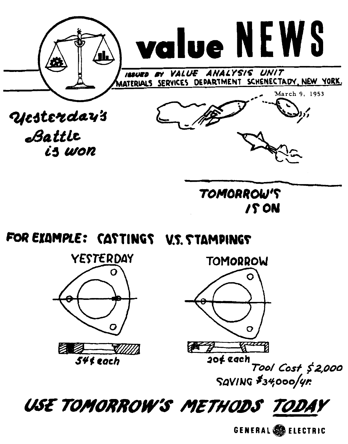

FOR EXAMPLE: CATTINGS V.S. STAMPINGS





Tool Cost \$2,000 SAVING \$34,000/4r.

USE TOMORROW'S METHODS TODAY

GENERAL SIELECTRIC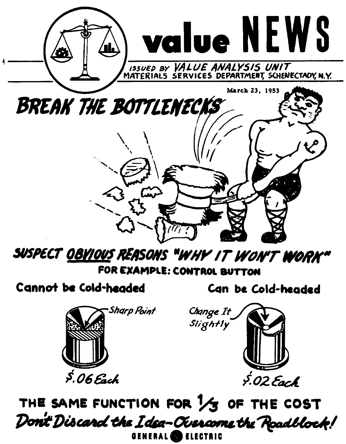

SUSPECT <u>OBYIOUS</u> REASONS "WHY IT WON'T **W**ORK" FOR EXAMPLE: CONTROL BUTTON

Cannot be Cold-headed

Can be Cold-headed





THE SAME FUNCTION FOR 1/3 OF THE COST Dont Discard the Idea–Currame the Roadblock! GENERAL **CO** ELECTRIC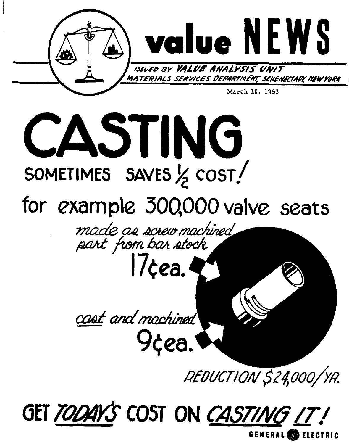



GET TODAY'S COST ON CASTING IT!

**GENERAL SO ELECTRIC**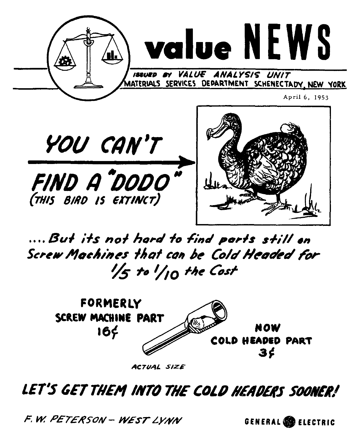



ACTUAL SIZE

### LET'S GET THEM INTO THE COLD HEADERS SOONER!

F.W. PETERSON - WEST LYNN

GENERAL SO ELECTRIC